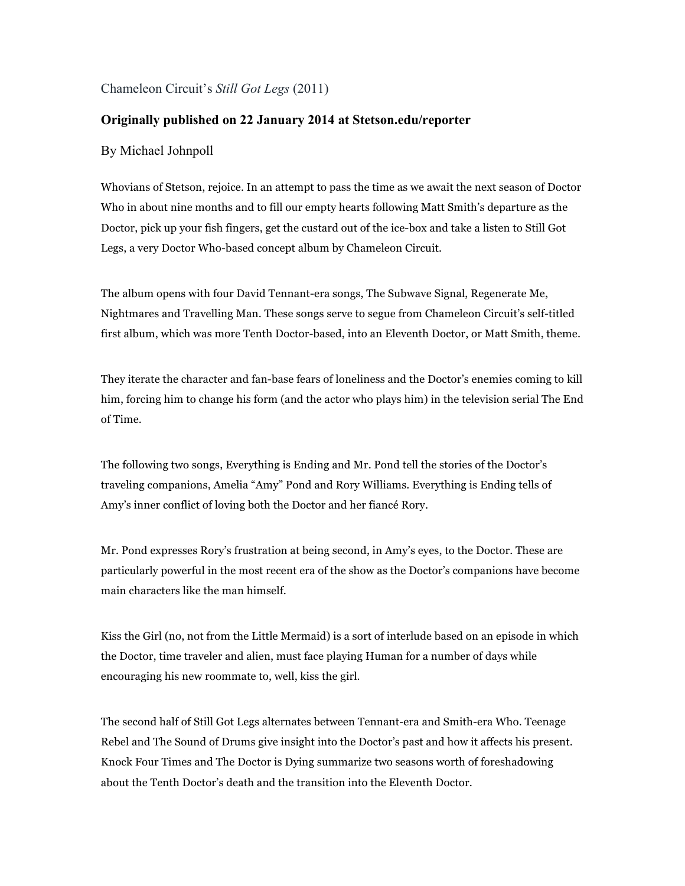## Chameleon Circuit's *Still Got Legs* (2011)

## **Originally published on 22 January 2014 at Stetson.edu/reporter**

## By Michael Johnpoll

Whovians of Stetson, rejoice. In an attempt to pass the time as we await the next season of Doctor Who in about nine months and to fill our empty hearts following Matt Smith's departure as the Doctor, pick up your fish fingers, get the custard out of the ice-box and take a listen to Still Got Legs, a very Doctor Who-based concept album by Chameleon Circuit.

The album opens with four David Tennant-era songs, The Subwave Signal, Regenerate Me, Nightmares and Travelling Man. These songs serve to segue from Chameleon Circuit's self-titled first album, which was more Tenth Doctor-based, into an Eleventh Doctor, or Matt Smith, theme.

They iterate the character and fan-base fears of loneliness and the Doctor's enemies coming to kill him, forcing him to change his form (and the actor who plays him) in the television serial The End of Time.

The following two songs, Everything is Ending and Mr. Pond tell the stories of the Doctor's traveling companions, Amelia "Amy" Pond and Rory Williams. Everything is Ending tells of Amy's inner conflict of loving both the Doctor and her fiancé Rory.

Mr. Pond expresses Rory's frustration at being second, in Amy's eyes, to the Doctor. These are particularly powerful in the most recent era of the show as the Doctor's companions have become main characters like the man himself.

Kiss the Girl (no, not from the Little Mermaid) is a sort of interlude based on an episode in which the Doctor, time traveler and alien, must face playing Human for a number of days while encouraging his new roommate to, well, kiss the girl.

The second half of Still Got Legs alternates between Tennant-era and Smith-era Who. Teenage Rebel and The Sound of Drums give insight into the Doctor's past and how it affects his present. Knock Four Times and The Doctor is Dying summarize two seasons worth of foreshadowing about the Tenth Doctor's death and the transition into the Eleventh Doctor.